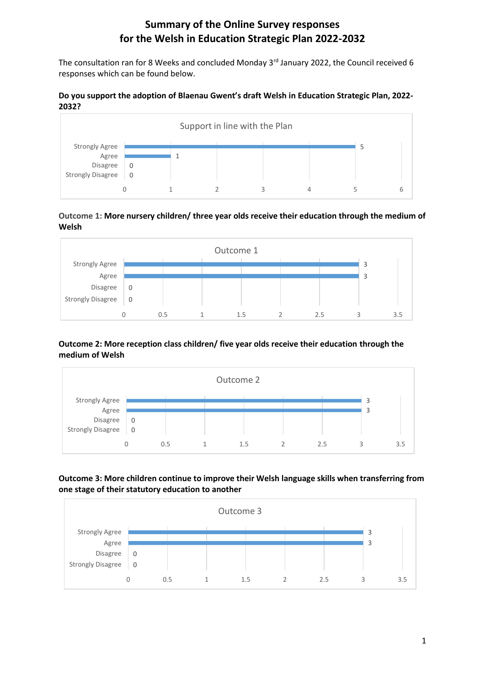# **Summary of the Online Survey responses for the Welsh in Education Strategic Plan 2022-2032**

The consultation ran for 8 Weeks and concluded Monday 3<sup>rd</sup> January 2022, the Council received 6 responses which can be found below.

#### **Do you support the adoption of Blaenau Gwent's draft Welsh in Education Strategic Plan, 2022- 2032?**



#### **Outcome 1: More nursery children/ three year olds receive their education through the medium of Welsh**



### **Outcome 2: More reception class children/ five year olds receive their education through the medium of Welsh**



## **Outcome 3: More children continue to improve their Welsh language skills when transferring from one stage of their statutory education to another**

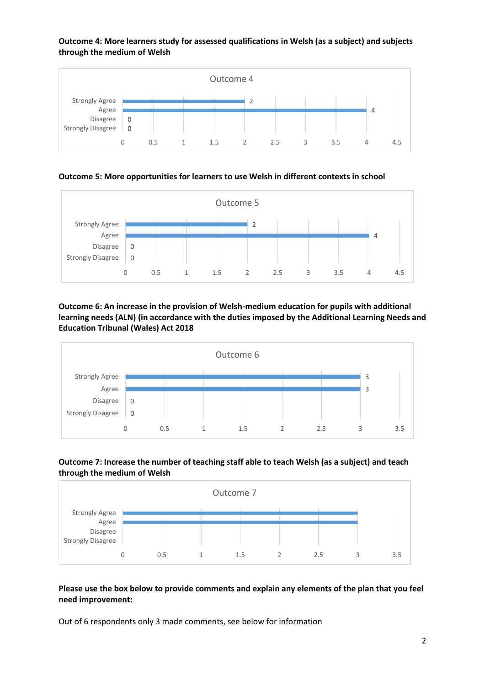**Outcome 4: More learners study for assessed qualifications in Welsh (as a subject) and subjects through the medium of Welsh**



**Outcome 5: More opportunities for learners to use Welsh in different contexts in school**



**Outcome 6: An increase in the provision of Welsh-medium education for pupils with additional learning needs (ALN) (in accordance with the duties imposed by the Additional Learning Needs and Education Tribunal (Wales) Act 2018**







#### **Please use the box below to provide comments and explain any elements of the plan that you feel need improvement:**

Out of 6 respondents only 3 made comments, see below for information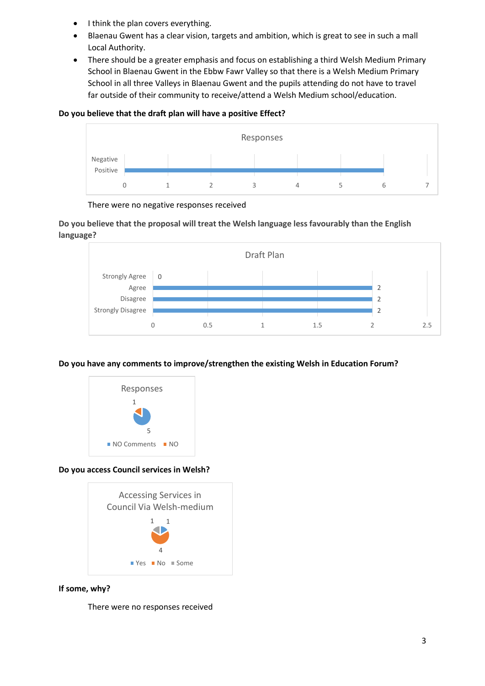- I think the plan covers everything.
- Blaenau Gwent has a clear vision, targets and ambition, which is great to see in such a mall Local Authority.
- There should be a greater emphasis and focus on establishing a third Welsh Medium Primary School in Blaenau Gwent in the Ebbw Fawr Valley so that there is a Welsh Medium Primary School in all three Valleys in Blaenau Gwent and the pupils attending do not have to travel far outside of their community to receive/attend a Welsh Medium school/education.

### **Do you believe that the draft plan will have a positive Effect?**



There were no negative responses received

**Do you believe that the proposal will treat the Welsh language less favourably than the English language?**



# **Do you have any comments to improve/strengthen the existing Welsh in Education Forum?**



# **Do you access Council services in Welsh?**



# **If some, why?**

There were no responses received